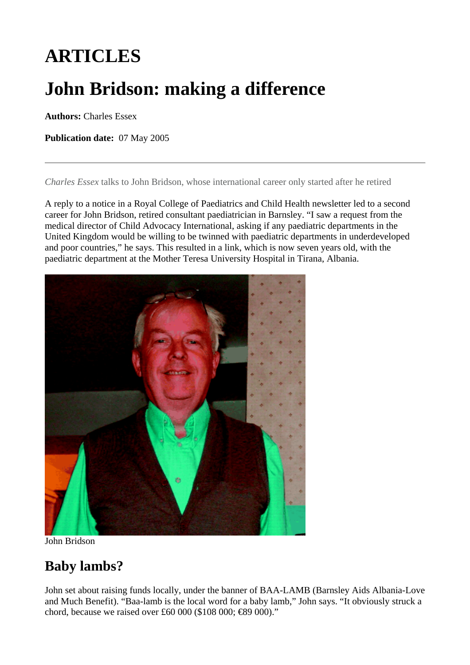# **ARTICLES**

# **John Bridson: making a difference**

**Authors:** Charles Essex

**Publication date:** 07 May 2005

*Charles Essex* talks to John Bridson, whose international career only started after he retired

A reply to a notice in a Royal College of Paediatrics and Child Health newsletter led to a second career for John Bridson, retired consultant paediatrician in Barnsley. "I saw a request from the medical director of Child Advocacy International, asking if any paediatric departments in the United Kingdom would be willing to be twinned with paediatric departments in underdeveloped and poor countries," he says. This resulted in a link, which is now seven years old, with the paediatric department at the Mother Teresa University Hospital in Tirana, Albania.



[John Bridson](http://eso-cdn.careers.bmj.com/article-images/rhonabrida.f3_default.gif) 

#### **Baby lambs?**

John set about raising funds locally, under the banner of BAA-LAMB (Barnsley Aids Albania-Love and Much Benefit). "Baa-lamb is the local word for a baby lamb," John says. "It obviously struck a chord, because we raised over £60 000 (\$108 000; €89 000)."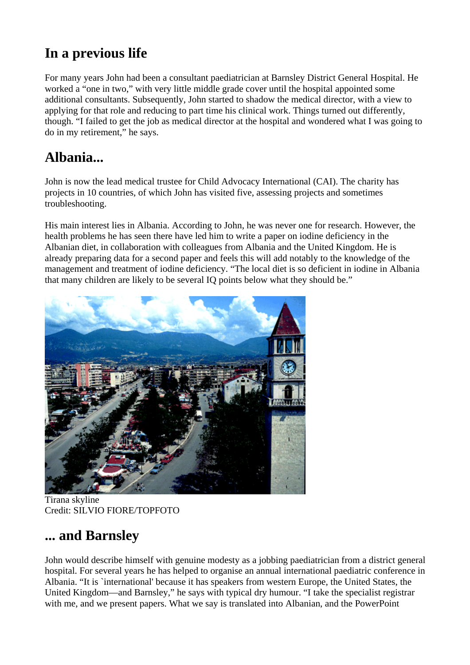# **In a previous life**

For many years John had been a consultant paediatrician at Barnsley District General Hospital. He worked a "one in two," with very little middle grade cover until the hospital appointed some additional consultants. Subsequently, John started to shadow the medical director, with a view to applying for that role and reducing to part time his clinical work. Things turned out differently, though. "I failed to get the job as medical director at the hospital and wondered what I was going to do in my retirement," he says.

# **Albania...**

John is now the lead medical trustee for Child Advocacy International (CAI). The charity has projects in 10 countries, of which John has visited five, assessing projects and sometimes troubleshooting.

His main interest lies in Albania. According to John, he was never one for research. However, the health problems he has seen there have led him to write a paper on iodine deficiency in the Albanian diet, in collaboration with colleagues from Albania and the United Kingdom. He is already preparing data for a second paper and feels this will add notably to the knowledge of the management and treatment of iodine deficiency. "The local diet is so deficient in iodine in Albania that many children are likely to be several IQ points below what they should be."



[Tirana skyline](http://eso-cdn.careers.bmj.com/article-images/rhonabrida.f1_default.gif)  Credit: SILVIO FIORE/TOPFOTO

# **... and Barnsley**

John would describe himself with genuine modesty as a jobbing paediatrician from a district general hospital. For several years he has helped to organise an annual international paediatric conference in Albania. "It is `international' because it has speakers from western Europe, the United States, the United Kingdom—and Barnsley," he says with typical dry humour. "I take the specialist registrar with me, and we present papers. What we say is translated into Albanian, and the PowerPoint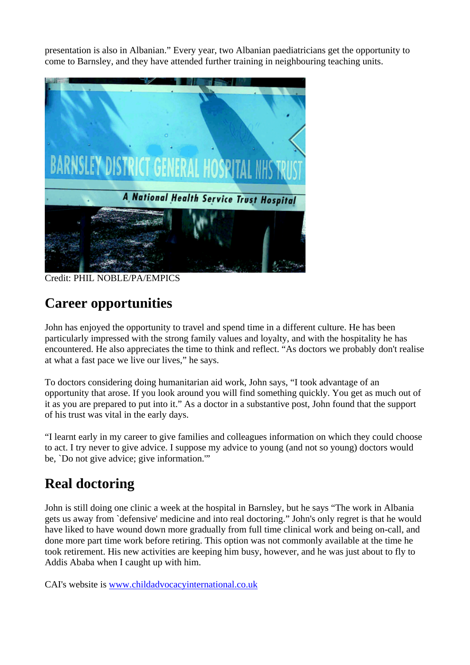presentation is also in Albanian." Every year, two Albanian paediatricians get the opportunity to come to Barnsley, and they have attended further training in neighbouring teaching units.



[Credit: PHIL NOBLE/PA/EMPICS](http://eso-cdn.careers.bmj.com/article-images/rhonabrida.f2_default.gif) 

# **Career opportunities**

John has enjoyed the opportunity to travel and spend time in a different culture. He has been particularly impressed with the strong family values and loyalty, and with the hospitality he has encountered. He also appreciates the time to think and reflect. "As doctors we probably don't realise at what a fast pace we live our lives," he says.

To doctors considering doing humanitarian aid work, John says, "I took advantage of an opportunity that arose. If you look around you will find something quickly. You get as much out of it as you are prepared to put into it." As a doctor in a substantive post, John found that the support of his trust was vital in the early days.

"I learnt early in my career to give families and colleagues information on which they could choose to act. I try never to give advice. I suppose my advice to young (and not so young) doctors would be, `Do not give advice; give information.'"

# **Real doctoring**

John is still doing one clinic a week at the hospital in Barnsley, but he says "The work in Albania gets us away from `defensive' medicine and into real doctoring." John's only regret is that he would have liked to have wound down more gradually from full time clinical work and being on-call, and done more part time work before retiring. This option was not commonly available at the time he took retirement. His new activities are keeping him busy, however, and he was just about to fly to Addis Ababa when I caught up with him.

CAI's website is [www.childadvocacyinternational.co.uk](http://www.childadvocacyinternational.co.uk/)